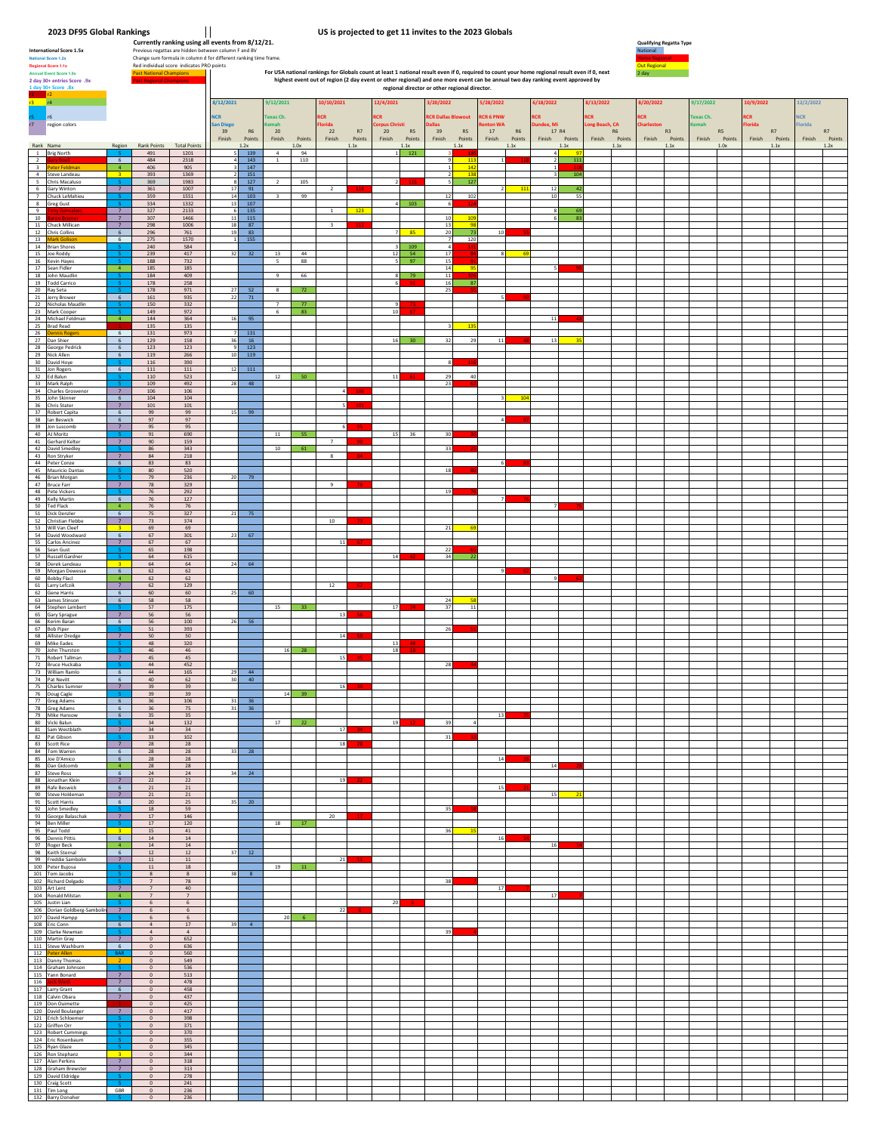**2023 DF95 Global Rankings**<br>Currently ranking using all events from 8/12/21.<br>International Score 1.5x<br>**Analog Score 1.5x**<br>National Score 1.2x<br>National Score 1.2x

|                                           | Regional Score 1.1x<br>Red individual score indicates PRO points<br><b>Past National Champions</b><br><b>Annual Event Score 1.0x</b><br>2 day 30+ entries Score. 9x<br>1 day 30+ Score .8x |                                                              |                                                |                             |            |                      |                         |                               |                      |                         |                |                        |                       | regional director or other regional director. |                             |                                 |                | For USA national rankings for Globals count at least 1 national result even if 0, required to count your home regional result even if 0, next<br>highest event out of region (2 day event or other regional) and one more event can be annual two day ranking event approved by |                         |                       | Out Regional<br>2 day |                |                       |                       |        |                |                         |                |
|-------------------------------------------|--------------------------------------------------------------------------------------------------------------------------------------------------------------------------------------------|--------------------------------------------------------------|------------------------------------------------|-----------------------------|------------|----------------------|-------------------------|-------------------------------|----------------------|-------------------------|----------------|------------------------|-----------------------|-----------------------------------------------|-----------------------------|---------------------------------|----------------|---------------------------------------------------------------------------------------------------------------------------------------------------------------------------------------------------------------------------------------------------------------------------------|-------------------------|-----------------------|-----------------------|----------------|-----------------------|-----------------------|--------|----------------|-------------------------|----------------|
| r3.                                       | r4<br>r6                                                                                                                                                                                   |                                                              |                                                |                             | <b>NCR</b> | 8/12/2021            |                         | 9/12/2021<br><b>Texas Ch.</b> |                      | 10/10/2021<br><b>CR</b> |                | 12/4/2021<br><b>CR</b> |                       | 3/20/2022<br><b>CR Dallas Blowout</b>         |                             | /28/2022<br>CR <sub>6</sub> PNW |                | 6/18/2022<br><b>RCR</b>                                                                                                                                                                                                                                                         | 8/13/2022<br><b>ICR</b> |                       | /20/2022<br>CR.       |                | 9/17/2022<br>exas Ch. | 0/9/2022<br><b>CR</b> |        |                | 12/2/2022<br><b>ICR</b> |                |
| $\overline{r}$                            | region colors                                                                                                                                                                              |                                                              |                                                |                             |            | an Diego<br>39       | R6                      | mah<br>20                     |                      | lorida<br>22            | R7             | Corpus Christi<br>20   | R5                    | <b>illas</b><br>39                            | R5                          | nton WA<br>17                   | R6             | undee, Mi<br>17 R4                                                                                                                                                                                                                                                              | ong Beach, CA           | <b>R6</b>             | <b>Charlestor</b>     | R3             | <b>Cemah</b>          | RS                    | lorida | R7             | lorida                  | R7             |
|                                           | Rank Name<br>1 Brig North                                                                                                                                                                  | Region                                                       | Rank Points<br>491                             | <b>Total Points</b><br>1201 |            | Finish               | Points<br>1.2x<br>139   | Finish<br>$\,4$               | Points<br>1.0x<br>94 | Finish                  | Points<br>1.1x | Finish                 | Points<br>1.1x<br>121 | Finish                                        | Points<br>1.1x              | Finish                          | Points<br>1.1x | Finish Points<br>1.1x<br>$\overline{4}$                                                                                                                                                                                                                                         |                         | Finish Points<br>1.1x | Finish                | Points<br>1.1x | Finish                | Points<br>1.0x        | Finish | Points<br>1.1x | Finish                  | Points<br>1.2x |
| $\overline{2}$<br>$\overline{\mathbf{3}}$ | ary Bo<br>eter Feldmar<br>4 Steve Landeau                                                                                                                                                  | 6<br>$\overline{a}$<br>$\overline{3}$                        | 484<br>406<br>393                              | 2318<br>905<br>1369         |            | $\Delta$             | 143<br>147<br>151       | $1\,$                         | 110                  |                         |                |                        |                       | $\circ$                                       | 11 <sup>2</sup><br>14<br>13 |                                 |                | $\overline{2}$<br>111<br>104<br>$\overline{\mathbf{3}}$                                                                                                                                                                                                                         |                         |                       |                       |                |                       |                       |        |                |                         |                |
|                                           | 5 Chris Macaluso<br>6 Gary Winton                                                                                                                                                          | $\overline{7}$                                               | 369<br>$361\,$                                 | 1983<br>1007                |            | 17                   | 127<br>91               | $\overline{2}$                | 105                  | $\overline{2}$          |                |                        |                       | 5                                             | 127                         | $\overline{2}$                  | 111            | $12\,$<br>42                                                                                                                                                                                                                                                                    |                         |                       |                       |                |                       |                       |        |                |                         |                |
| 9                                         | 7 Chuck LeMahieu<br>8 Greg Gust                                                                                                                                                            | $\overline{7}$                                               | 359<br>334<br>327                              | 1551<br>1332<br>2133        |            | 14<br>13             | 103<br>107<br>135       | $\overline{\mathbf{3}}$       | 99                   | $\mathbf{1}$            | 123            | 4 <sup>1</sup>         | 103                   | 12<br>6                                       | 102                         |                                 |                | 10<br>55<br>8                                                                                                                                                                                                                                                                   |                         |                       |                       |                |                       |                       |        |                |                         |                |
| 10                                        | 11 Chuck Millican<br>12 Chris Collins                                                                                                                                                      | 7<br>$7\overline{ }$<br>6                                    | 307<br>298<br>296                              | 1466<br>1006<br>761         |            | 11<br>18<br>19       | 115<br>87<br>83         |                               |                      | $\overline{\mathbf{3}}$ |                |                        | 85                    | 10<br>13<br>20                                | 10<br>$^{\circ}$<br>73      | 10                              |                | 6<br>R <sup>3</sup>                                                                                                                                                                                                                                                             |                         |                       |                       |                |                       |                       |        |                |                         |                |
|                                           | 13 Mark Golis<br>14 Brian Shores<br>15 Joe Roddy                                                                                                                                           | 6                                                            | 275<br>240<br>239                              | 1570<br>584<br>417          |            | $\overline{1}$<br>32 | 155<br>32               | 13                            | 44                   |                         |                | 12                     | 109<br>54             | $\overline{7}$<br>17                          | 120                         |                                 |                |                                                                                                                                                                                                                                                                                 |                         |                       |                       |                |                       |                       |        |                |                         |                |
|                                           | 16 Kevin Hayes<br>17 Sean Fidler                                                                                                                                                           | $\overline{\mathbf{4}}$                                      | 188<br>185                                     | 732<br>185                  |            |                      |                         | 5                             | 88                   |                         |                |                        | 97                    | 15<br>14                                      | 99                          |                                 |                |                                                                                                                                                                                                                                                                                 |                         |                       |                       |                |                       |                       |        |                |                         |                |
|                                           | 18 John Maudlin<br>19 Todd Carrico<br>20 Ray Seta                                                                                                                                          |                                                              | 184<br>178<br>178                              | 409<br>258<br>971           |            | 27                   | 52                      | 9<br>8                        | 66<br>72             |                         |                |                        | 79                    | 11<br>16<br>25                                | 87                          |                                 |                |                                                                                                                                                                                                                                                                                 |                         |                       |                       |                |                       |                       |        |                |                         |                |
|                                           | 21 Jerry Brower<br>22 Nicholas Maudlin<br>23 Mark Cooper                                                                                                                                   | -6                                                           | 161<br>150<br>149                              | 935<br>332<br>972           |            | 22                   | 71                      | $\overline{7}$<br>6           | 77<br>83             |                         |                | 10                     |                       |                                               |                             |                                 |                |                                                                                                                                                                                                                                                                                 |                         |                       |                       |                |                       |                       |        |                |                         |                |
|                                           | 24 Michael Feldman<br>25 Brad Read                                                                                                                                                         | $\frac{4}{3}$                                                | 144<br>135                                     | 364<br>135                  |            | 16                   | 95                      |                               |                      |                         |                |                        |                       |                                               | 13                          |                                 |                | 11                                                                                                                                                                                                                                                                              |                         |                       |                       |                |                       |                       |        |                |                         |                |
|                                           | 26 Dennis Rogers<br>27 Dan Shier<br>28 George Pedrick                                                                                                                                      | $6\overline{6}$<br>6<br>$\,$ 6                               | 131<br>129<br>123                              | 973<br>158<br>123           |            | 36                   | 131<br>16<br>123        |                               |                      |                         |                | 16                     | 30 <sup>°</sup>       | 32                                            | 29                          | 11                              |                | 13                                                                                                                                                                                                                                                                              |                         |                       |                       |                |                       |                       |        |                |                         |                |
|                                           | 29 Nick Allen<br>30 David Hoye<br>31 Jon Rogers                                                                                                                                            | $6\overline{6}$<br>$\,$ 6                                    | 119<br>116<br>111                              | 266<br>390<br>$111\,$       |            | 10<br>$12\,$         | 119<br>$111\,$          |                               |                      |                         |                |                        |                       |                                               |                             |                                 |                |                                                                                                                                                                                                                                                                                 |                         |                       |                       |                |                       |                       |        |                |                         |                |
|                                           | 32 Ed Balun<br>33 Mark Ralph<br>34 Charles Grosvenor                                                                                                                                       | $\overline{7}$                                               | 110<br>109<br>106                              | 523<br>492<br>106           |            | 28                   | 48                      | 12                            | 50                   |                         |                | $11\,$                 |                       | 29<br>23                                      | 40                          |                                 |                |                                                                                                                                                                                                                                                                                 |                         |                       |                       |                |                       |                       |        |                |                         |                |
|                                           | 35 John Skinner<br>36 Chris Stater                                                                                                                                                         | 6<br>$7\overline{ }$                                         | 104<br>101                                     | 104<br>101                  |            |                      |                         |                               |                      |                         |                |                        |                       |                                               |                             |                                 | $-10$          |                                                                                                                                                                                                                                                                                 |                         |                       |                       |                |                       |                       |        |                |                         |                |
|                                           | 37 Robert Capita<br>38 lan Beswick<br>39 Jon Luscomb                                                                                                                                       | 6<br>6<br>$7\overline{ }$                                    | 99<br>97<br>95                                 | 99<br>97<br>95              |            | 15                   | 99                      |                               |                      |                         |                |                        |                       |                                               |                             |                                 |                |                                                                                                                                                                                                                                                                                 |                         |                       |                       |                |                       |                       |        |                |                         |                |
|                                           | 40 AJ Moritz<br>41 Gerhard Kelter<br>42 David Smedley                                                                                                                                      | $\overline{7}$                                               | 91<br>90<br>86                                 | 690<br>159<br>343           |            |                      |                         | 11<br>$10\,$                  | 55<br>61             | $\overline{7}$          |                | 15                     | 36                    | 30<br>33                                      |                             |                                 |                |                                                                                                                                                                                                                                                                                 |                         |                       |                       |                |                       |                       |        |                |                         |                |
|                                           | 43 Ron Stryker<br>44 Peter Conze                                                                                                                                                           | 7<br>$6\overline{6}$                                         | 84<br>83                                       | 218<br>83                   |            |                      |                         |                               |                      | 8                       |                |                        |                       |                                               |                             |                                 |                |                                                                                                                                                                                                                                                                                 |                         |                       |                       |                |                       |                       |        |                |                         |                |
| 47                                        | 45 Mauricio Dantas<br>46 Brian Morgan<br><b>Bruce Farr</b>                                                                                                                                 | $7\overline{ }$                                              | 80<br>79<br>78                                 | 520<br>236<br>329           |            | -20                  | 79                      |                               |                      | $\,9$                   |                |                        |                       | 18                                            |                             |                                 |                |                                                                                                                                                                                                                                                                                 |                         |                       |                       |                |                       |                       |        |                |                         |                |
|                                           | 48 Pete Vickers<br>49 Kelly Martin<br>50 Ted Flack                                                                                                                                         | 6<br>$\overline{4}$                                          | 76<br>76<br>$76$                               | 292<br>127<br>$76\,$        |            |                      |                         |                               |                      |                         |                |                        |                       | 19                                            |                             |                                 |                |                                                                                                                                                                                                                                                                                 |                         |                       |                       |                |                       |                       |        |                |                         |                |
|                                           | 51 Dick Denzler<br>52 Christian Flebbe<br>53 Will Van Cleef                                                                                                                                | $6\overline{6}$<br>$\overline{z}$<br>$\overline{\mathbf{3}}$ | 75<br>73<br>69                                 | 327<br>374<br>69            |            | 21                   | 75                      |                               |                      | 10                      |                |                        |                       | $\bf 21$                                      |                             |                                 |                |                                                                                                                                                                                                                                                                                 |                         |                       |                       |                |                       |                       |        |                |                         |                |
|                                           | 54 David Woodward<br>55 Carlos Ancinez                                                                                                                                                     | 6 <sup>5</sup><br>7                                          | 67<br>67                                       | 301<br>67                   |            | 23                   | 67                      |                               |                      | 11                      |                |                        |                       |                                               |                             |                                 |                |                                                                                                                                                                                                                                                                                 |                         |                       |                       |                |                       |                       |        |                |                         |                |
|                                           | 56 Sean Gust<br>57 Russell Gardner<br>58 Derek Landeau                                                                                                                                     | $\overline{\mathbf{3}}$                                      | 65<br>64<br>64                                 | 198<br>615<br>64            |            | 24                   | 64                      |                               |                      |                         |                | 14                     |                       | 22<br>34                                      | $-21$                       |                                 |                |                                                                                                                                                                                                                                                                                 |                         |                       |                       |                |                       |                       |        |                |                         |                |
|                                           | 59 Morgan Dewesse<br>60 Bobby Flack<br>61 Larry Lefczik                                                                                                                                    | 6<br>$\overline{4}$<br>7                                     | 62<br>62<br>62                                 | 62<br>62<br>129             |            |                      |                         |                               |                      | 12                      |                |                        |                       |                                               |                             |                                 |                |                                                                                                                                                                                                                                                                                 |                         |                       |                       |                |                       |                       |        |                |                         |                |
|                                           | 62 Gene Harris<br>63 James Stinson                                                                                                                                                         | $\,$ 6 $\,$<br>6                                             | 60<br>58                                       | 60<br>58                    |            | 25                   | 60                      |                               |                      |                         |                |                        |                       | 24                                            | 5                           |                                 |                |                                                                                                                                                                                                                                                                                 |                         |                       |                       |                |                       |                       |        |                |                         |                |
|                                           | 64 Stephen Lambert<br>65 Gary Sprague<br>66 Kerim Baran                                                                                                                                    | $\overline{7}$<br>$6\overline{6}$                            | 57<br>56<br>56                                 | 175<br>56<br>100            |            | 26                   | 56                      | 15                            | 33                   | 13                      |                | 17                     |                       | 37                                            | $11$                        |                                 |                |                                                                                                                                                                                                                                                                                 |                         |                       |                       |                |                       |                       |        |                |                         |                |
|                                           | 67 Bob Piper<br>68 Allister Dredge<br>69 Mike Eades                                                                                                                                        | $\overline{7}$                                               | 51<br>50<br>48                                 | 393<br>50<br>320            |            |                      |                         |                               |                      | 14                      |                | 13                     |                       | 26                                            |                             |                                 |                |                                                                                                                                                                                                                                                                                 |                         |                       |                       |                |                       |                       |        |                |                         |                |
|                                           | 70 John Thurston<br>71 Robert Tallman<br>72 Bruce Huckaba                                                                                                                                  | $\overline{7}$                                               | 46<br>45<br>44                                 | 46<br>45<br>452             |            |                      |                         |                               | $16$ 28              | 15                      |                | 18                     |                       | 28                                            |                             |                                 |                |                                                                                                                                                                                                                                                                                 |                         |                       |                       |                |                       |                       |        |                |                         |                |
|                                           | 73 William Ramlo<br>74 Pat Nevitt                                                                                                                                                          | $6\phantom{.}6$<br>6                                         | 44<br>40                                       | 165<br>62                   |            | 29<br>30             | 44<br>40                |                               |                      |                         |                |                        |                       |                                               |                             |                                 |                |                                                                                                                                                                                                                                                                                 |                         |                       |                       |                |                       |                       |        |                |                         |                |
|                                           | 75 Charles Sumner<br>76 Doug Cagle<br>77 Greg Adams<br>78 Greg Adams                                                                                                                       | $\overline{7}$<br>6                                          | 39<br>39<br>36                                 | 39<br>39<br>106             |            | 31                   | 36                      | 14                            | 39                   | 16                      |                |                        |                       |                                               |                             |                                 |                |                                                                                                                                                                                                                                                                                 |                         |                       |                       |                |                       |                       |        |                |                         |                |
|                                           | 79 Mike Hansow<br>80 Vicki Balun                                                                                                                                                           | $\overline{b}$<br>6 <sup>1</sup>                             | 56<br>35<br>34                                 | 15<br>35<br>132             |            |                      | - 36                    | 17                            | 22                   |                         |                | 19                     |                       | 39                                            |                             | 13                              |                |                                                                                                                                                                                                                                                                                 |                         |                       |                       |                |                       |                       |        |                |                         |                |
|                                           | 81 Sam Westblath<br>82 Pat Gibson<br>83 Scott Rice                                                                                                                                         | $\overline{7}$<br>7                                          | 34<br>33<br>28                                 | 34<br>102<br>28             |            |                      |                         |                               |                      | 17<br>18                | 28             |                        |                       | 31                                            |                             |                                 |                |                                                                                                                                                                                                                                                                                 |                         |                       |                       |                |                       |                       |        |                |                         |                |
|                                           | 84 Tom Warren<br>85 Joe D'Amico                                                                                                                                                            | 6<br>6 <sup>6</sup>                                          | 28<br>28                                       | $\bf 28$<br>28              |            | 33                   | 28                      |                               |                      |                         |                |                        |                       |                                               |                             | 14                              |                |                                                                                                                                                                                                                                                                                 |                         |                       |                       |                |                       |                       |        |                |                         |                |
|                                           | 86 Dan Gidcomb<br>87 Steve Ross<br>88 Jonathan Klein                                                                                                                                       | $\blacktriangleleft$<br>6<br>7                               | 28<br>24<br>22                                 | 28<br>24<br>22              |            | 34                   | 24                      |                               |                      | 19                      |                |                        |                       |                                               |                             |                                 |                | $14\,$                                                                                                                                                                                                                                                                          |                         |                       |                       |                |                       |                       |        |                |                         |                |
|                                           | 89 Rafe Beswick<br>90 Steve Holdeman<br>91 Scott Harris                                                                                                                                    | 6 <sup>1</sup><br>7 <sup>7</sup><br>6 <sup>6</sup>           | $21\,$<br>21<br>20                             | 21<br>21<br>25              |            | 35                   | 20                      |                               |                      |                         |                |                        |                       |                                               |                             | 15                              |                | 15                                                                                                                                                                                                                                                                              |                         |                       |                       |                |                       |                       |        |                |                         |                |
|                                           | 92 John Smedley<br>93 George Balaschak<br>94 Ben Miller                                                                                                                                    | $\overline{7}$                                               | 18<br>17<br>17                                 | 59<br>146<br>120            |            |                      |                         | 18                            | 17                   | 20                      |                |                        |                       | 35                                            |                             |                                 |                |                                                                                                                                                                                                                                                                                 |                         |                       |                       |                |                       |                       |        |                |                         |                |
|                                           | 95 Paul Todd<br>96 Dennis Pittis                                                                                                                                                           | $\overline{\mathbf{3}}$<br>6                                 | 15<br>14                                       | 41<br>14                    |            |                      |                         |                               |                      |                         |                |                        |                       | 36                                            |                             | 16                              |                |                                                                                                                                                                                                                                                                                 |                         |                       |                       |                |                       |                       |        |                |                         |                |
|                                           | 97 Roger Beck<br>98 Keith Sternal<br>99 Freddie Sambolin                                                                                                                                   | $\blacktriangleleft$<br>6 <sup>6</sup><br>7                  | 14<br>12<br>11                                 | 14<br>12<br>11              |            |                      | $37 - 12$               |                               |                      | 21                      |                |                        |                       |                                               |                             |                                 |                | $16\,$                                                                                                                                                                                                                                                                          |                         |                       |                       |                |                       |                       |        |                |                         |                |
|                                           | 100 Peter Bujosa<br>101 Tom Jacobs<br>102 Richard Delgado                                                                                                                                  |                                                              | $11\,$<br>8<br>$\overline{7}$                  | 18<br>$\,$ 8 $\,$<br>78     |            | 38                   | $\overline{\mathbf{8}}$ | 19                            | $11\,$               |                         |                |                        |                       | 38                                            |                             |                                 |                |                                                                                                                                                                                                                                                                                 |                         |                       |                       |                |                       |                       |        |                |                         |                |
|                                           | 103 Art Lent<br>104 Ronald Milstan                                                                                                                                                         | $\overline{7}$<br>$-4$                                       | $\overline{7}$<br>$\overline{7}$               | 40<br>$\overline{7}$        |            |                      |                         |                               |                      |                         |                |                        |                       |                                               |                             | 17                              |                | 17                                                                                                                                                                                                                                                                              |                         |                       |                       |                |                       |                       |        |                |                         |                |
|                                           | 105 Justin Lian<br>106 Dorian Goldberg-Sambolin<br>107 David Hampp                                                                                                                         | $\overline{7}$<br>-5                                         | 6<br>6<br>6                                    | 6<br>6<br>6                 |            |                      |                         | 20                            | $-6$                 | 22                      |                | 20                     |                       |                                               |                             |                                 |                |                                                                                                                                                                                                                                                                                 |                         |                       |                       |                |                       |                       |        |                |                         |                |
|                                           | 108 Eric Conn<br>109 Clarke Newman<br>110 Martin Gray                                                                                                                                      | 6 <sup>6</sup><br>7                                          | $\sim$<br>$\sqrt{4}$<br>$\Omega$               | 17<br>$\sqrt{4}$<br>652     |            | 39                   | $\sim$ 4                |                               |                      |                         |                |                        |                       | 39                                            |                             |                                 |                |                                                                                                                                                                                                                                                                                 |                         |                       |                       |                |                       |                       |        |                |                         |                |
|                                           | 111 Steve Washburn<br>112 Peter Allen<br>113 Danny Thomas                                                                                                                                  | 6 <sup>6</sup><br>BAR                                        | $\overline{0}$<br>$\mathbf{0}$<br>$\mathbf{0}$ | 636<br>560<br>549           |            |                      |                         |                               |                      |                         |                |                        |                       |                                               |                             |                                 |                |                                                                                                                                                                                                                                                                                 |                         |                       |                       |                |                       |                       |        |                |                         |                |
|                                           | 114 Graham Johnson<br>115 Yann Bonard                                                                                                                                                      | $\overline{7}$                                               | $\circ$<br>$\circ$                             | 536<br>513                  |            |                      |                         |                               |                      |                         |                |                        |                       |                                               |                             |                                 |                |                                                                                                                                                                                                                                                                                 |                         |                       |                       |                |                       |                       |        |                |                         |                |
| 116                                       | lack W<br>117 Larry Grant<br>118 Calvin Obara                                                                                                                                              | 7 <sup>7</sup><br>$6\overline{6}$<br>$\overline{7}$          | $\overline{0}$<br>$\mathbf{0}$<br>$\circ$      | 478<br>458<br>437           |            |                      |                         |                               |                      |                         |                |                        |                       |                                               |                             |                                 |                |                                                                                                                                                                                                                                                                                 |                         |                       |                       |                |                       |                       |        |                |                         |                |
|                                           | 119 Don Ouimette<br>120 David Boulanger<br>121 Erich Schloemer                                                                                                                             | $\overline{7}$<br>-5                                         | $\mathbb O$<br>$\mathbf{0}$<br>$\mathbf{0}$    | 425<br>417<br>398           |            |                      |                         |                               |                      |                         |                |                        |                       |                                               |                             |                                 |                |                                                                                                                                                                                                                                                                                 |                         |                       |                       |                |                       |                       |        |                |                         |                |
|                                           | 122 Griffen Orr<br>123 Robert Cummings                                                                                                                                                     |                                                              | $\mathbb O$<br>$\circ$<br>$\circ$              | 371<br>370                  |            |                      |                         |                               |                      |                         |                |                        |                       |                                               |                             |                                 |                |                                                                                                                                                                                                                                                                                 |                         |                       |                       |                |                       |                       |        |                |                         |                |
|                                           | 124 Eric Rosenbaum<br>125 Ryan Glaze<br>126 Ron Stephanz                                                                                                                                   | $\blacksquare$<br>$\overline{\mathbf{3}}$                    | $\mathbf 0$<br>$\circ$                         | 355<br>345<br>344           |            |                      |                         |                               |                      |                         |                |                        |                       |                                               |                             |                                 |                |                                                                                                                                                                                                                                                                                 |                         |                       |                       |                |                       |                       |        |                |                         |                |
|                                           | 127 Alan Perkins<br>128 Graham Brewster<br>129 David Eldridge                                                                                                                              | 7 <sup>7</sup><br>$\overline{7}$                             | $\bullet$<br>$\mathbf 0$<br>$\circ$            | 318<br>313<br>278           |            |                      |                         |                               |                      |                         |                |                        |                       |                                               |                             |                                 |                |                                                                                                                                                                                                                                                                                 |                         |                       |                       |                |                       |                       |        |                |                         |                |
|                                           | 130 Craig Scott<br>131 Tim Long<br>132 Barry Donaher                                                                                                                                       | GBR                                                          | $\circ$<br>$\mathbb O$<br>$\overline{0}$       | 241<br>236<br>236           |            |                      |                         |                               |                      |                         |                |                        |                       |                                               |                             |                                 |                |                                                                                                                                                                                                                                                                                 |                         |                       |                       |                |                       |                       |        |                |                         |                |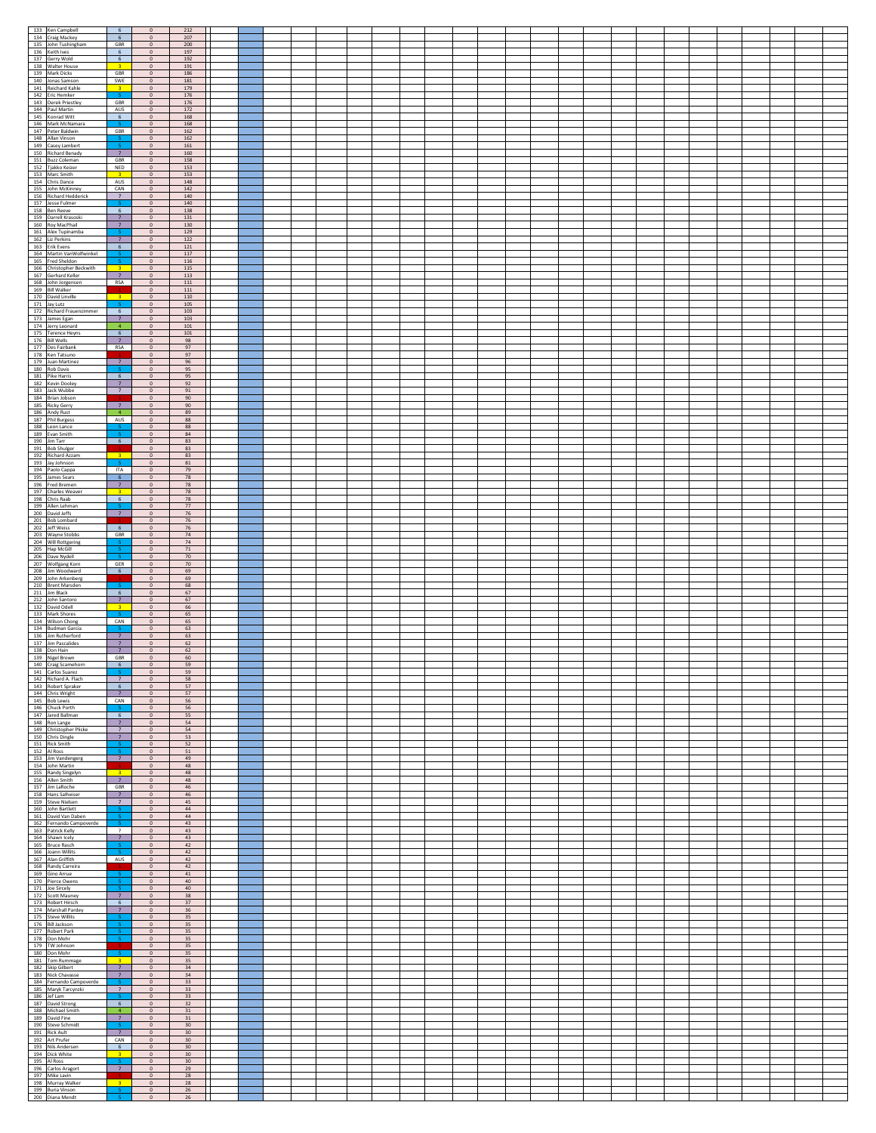| 133 Ken Campbell                                        | $6\overline{6}$                         | $\mathbf{0}$                   | 212                       |  |  |  |  |  |  |  |  |  |  |  |  |
|---------------------------------------------------------|-----------------------------------------|--------------------------------|---------------------------|--|--|--|--|--|--|--|--|--|--|--|--|
| 134 Craig Mackey                                        | 6                                       | $\mathbf{0}$                   | 207                       |  |  |  |  |  |  |  |  |  |  |  |  |
| 135 John Tushingham<br>136 Keith Ives                   | GBR<br>6                                | $\circ$<br>$\mathbf{0}$        | 200<br>197                |  |  |  |  |  |  |  |  |  |  |  |  |
| 137 Gerry Wold<br>138 Walter House                      | 6<br>$\overline{\mathbf{3}}$            | $\mathbf{0}$<br>$\mathbf 0$    | 192<br>191                |  |  |  |  |  |  |  |  |  |  |  |  |
| 139 Mark Dicks                                          | GBR                                     | $\mathbf{0}$                   | 186                       |  |  |  |  |  |  |  |  |  |  |  |  |
| 140 Jonas Samson<br>141 Reichard Kahle                  | SWE                                     | $\mathbf{0}$                   | 181                       |  |  |  |  |  |  |  |  |  |  |  |  |
| 142 Eric Hemker                                         | $\overline{\mathbf{3}}$<br>s.           | $\mathbf{0}$<br>$\mathbf{0}$   | 179<br>176                |  |  |  |  |  |  |  |  |  |  |  |  |
| 143 Derek Priestley<br>144 Paul Martin                  | GBR<br>AUS                              | $\,$ 0 $\,$                    | 176                       |  |  |  |  |  |  |  |  |  |  |  |  |
| 145 Konrad Witt                                         | 6                                       | $\circ$<br>$\circ$             | 172<br>168                |  |  |  |  |  |  |  |  |  |  |  |  |
| 146 Mark McNamara                                       |                                         | $\mathbf 0$                    | 168                       |  |  |  |  |  |  |  |  |  |  |  |  |
| 147 Peter Baldwin<br>148 Allan Vinson                   | GBR                                     | $\overline{0}$<br>$\circ$      | 162<br>162                |  |  |  |  |  |  |  |  |  |  |  |  |
| 149 Casey Lambert                                       | $\mathbf{S}$                            | $\mathbb O$                    | $161\,$                   |  |  |  |  |  |  |  |  |  |  |  |  |
| 150 Richard Benady<br>151 Buzz Coleman                  | 7<br>GBR                                | $\overline{0}$<br>$\circ$      | 160<br>158                |  |  |  |  |  |  |  |  |  |  |  |  |
| 152 Tjakko Keizer                                       | NED                                     | $\,$ 0 $\,$                    | 153                       |  |  |  |  |  |  |  |  |  |  |  |  |
| 153 Marc Smith<br>154 Chris Dance                       | $\overline{\mathbf{3}}$<br>AUS          | $\mathbf{0}$<br>$\bullet$      | 153<br>148                |  |  |  |  |  |  |  |  |  |  |  |  |
| 155 John McKinney                                       | CAN                                     | $\mathbf{0}$                   | 142                       |  |  |  |  |  |  |  |  |  |  |  |  |
| 156 Richard Hedderick<br>157 Jesse Fulmer               | $\overline{7}$                          | $\mathbf{0}$<br>$\circ$        | 140<br>140                |  |  |  |  |  |  |  |  |  |  |  |  |
| 158 Ben Reeve                                           | $6\overline{6}$                         | $\,$ 0 $\,$                    | 138                       |  |  |  |  |  |  |  |  |  |  |  |  |
| 159 Darrell Krasoski                                    | $\overline{7}$                          | $\mathbf{0}$                   | 131                       |  |  |  |  |  |  |  |  |  |  |  |  |
| 160 Roy MacPhail<br>161 Alex Tupinamba                  | 7 <sup>7</sup>                          | $\circ$<br>$\mathbf{0}$        | 130<br>129                |  |  |  |  |  |  |  |  |  |  |  |  |
| 162 Liz Perkins                                         | $\overline{7}$                          | $\mathbf{0}$                   | 122                       |  |  |  |  |  |  |  |  |  |  |  |  |
| 163 Erik Evens<br>164 Martin VanWolfwinkel              | $\mathsf{6}^-$                          | $\,$ 0 $\,$<br>$\mathbf{0}$    | 121<br>117                |  |  |  |  |  |  |  |  |  |  |  |  |
| 165 Fred Sheldon                                        |                                         | $\mathbf{0}$                   | 116                       |  |  |  |  |  |  |  |  |  |  |  |  |
| 166 Christopher Beckwith<br>167 Gerhard Keller          | $\overline{3}$<br>7                     | $\circ$<br>$\mathbf{0}$        | 115<br>113                |  |  |  |  |  |  |  |  |  |  |  |  |
| 168 John Jorgensen                                      | RSA                                     | $\,$ 0 $\,$                    | 111                       |  |  |  |  |  |  |  |  |  |  |  |  |
| 169 Bill Walker<br>170 David Linville                   |                                         | $\circ$<br>$\circ$             | 111<br>110                |  |  |  |  |  |  |  |  |  |  |  |  |
| 171 Jay Lutz                                            | $\overline{\mathbf{3}}$                 | $\,$ 0 $\,$                    | 105                       |  |  |  |  |  |  |  |  |  |  |  |  |
| 172 Richard Frauenzimmer                                | 6 <sup>1</sup><br>7                     | $\circ$                        | 103                       |  |  |  |  |  |  |  |  |  |  |  |  |
| 173 James Egan<br>174 Jerry Leonard                     | $\blacktriangleleft$                    | $\overline{0}$<br>$\mathbb O$  | 103<br>$101\,$            |  |  |  |  |  |  |  |  |  |  |  |  |
| 175 Terence Heyns                                       | 6                                       | $\overline{0}$                 | 101                       |  |  |  |  |  |  |  |  |  |  |  |  |
| 176 Bill Wells<br>177 Des Fairbank                      | 7 <sup>7</sup><br><b>RSA</b>            | $\overline{0}$<br>$\mathbf{0}$ | 98<br>97                  |  |  |  |  |  |  |  |  |  |  |  |  |
| 178 Ken Tatsuno                                         |                                         | $\mathbf{0}$                   | 97                        |  |  |  |  |  |  |  |  |  |  |  |  |
| 179 Juan Martinez<br>180 Rob Davis                      | 7 <sup>7</sup>                          | $\circ$<br>$\mathbf{0}$        | 96<br>95                  |  |  |  |  |  |  |  |  |  |  |  |  |
| 181 Pike Harris                                         | 6 <sup>6</sup>                          | $\mathbf{0}$                   | 95                        |  |  |  |  |  |  |  |  |  |  |  |  |
| 182 Kevin Dooley<br>183 Jack Wubbe                      | 7<br>7                                  | $\circ$<br>$\mathbf{0}$        | 92<br>91                  |  |  |  |  |  |  |  |  |  |  |  |  |
| 184 Brian Jobson                                        |                                         | $\mathbf{0}$                   | 90                        |  |  |  |  |  |  |  |  |  |  |  |  |
| 185 Ricky Gerry<br>186 Andy Rust                        | 7 <sup>7</sup><br>$\overline{4}$        | $\circ$<br>$\mathbf{0}$        | 90<br>89                  |  |  |  |  |  |  |  |  |  |  |  |  |
| 187 Phil Burgess                                        | AUS                                     | $\mathbf{0}$                   | 88                        |  |  |  |  |  |  |  |  |  |  |  |  |
| 188 Leon Lance<br>189 Evan Smith                        |                                         | $\,$ 0 $\,$<br>$\mathbf{0}$    | $^{\rm 88}$<br>84         |  |  |  |  |  |  |  |  |  |  |  |  |
| 190 Jim Tarr                                            | $6\overline{6}$                         | $\,$ 0                         | 83                        |  |  |  |  |  |  |  |  |  |  |  |  |
| 191 Bob Shulger<br>192 Richard Azzam                    |                                         | $\circ$<br>$\mathbf{0}$        | 83<br>83                  |  |  |  |  |  |  |  |  |  |  |  |  |
| 193 Jay Johnson                                         | $\overline{\mathbf{3}}$                 | $\mathbf 0$                    | 81                        |  |  |  |  |  |  |  |  |  |  |  |  |
| 194 Paolo Cappa<br>195 James Sears                      | <b>ITA</b><br>6                         | $\mathbf{0}$<br>$\overline{0}$ | 79<br>78                  |  |  |  |  |  |  |  |  |  |  |  |  |
| 196 Fred Bremen                                         | $\overline{7}$                          | $\mathbb O$                    | ${\bf 78}$                |  |  |  |  |  |  |  |  |  |  |  |  |
| 197 Charles Weaver<br>198 Chris Raab                    | $\overline{3}$<br>6                     | $\mathbf{0}$<br>$\overline{0}$ | 78<br>78                  |  |  |  |  |  |  |  |  |  |  |  |  |
| 199 Allen Lehman                                        |                                         | $\mathbf{0}$                   | $77\,$                    |  |  |  |  |  |  |  |  |  |  |  |  |
| 200 David Jeffs                                         | 7                                       | $\circ$                        | 76                        |  |  |  |  |  |  |  |  |  |  |  |  |
| 201 Bob Lombard<br>202 Jeff Weiss                       | 6 <sup>1</sup>                          | $\circ$<br>$\mathbf 0$         | 76<br>76                  |  |  |  |  |  |  |  |  |  |  |  |  |
| 203 Wayne Stobbs<br>204 Will Rottgering                 | GBR                                     | $\circ$<br>$\mathbf 0$         | 74<br>74                  |  |  |  |  |  |  |  |  |  |  |  |  |
| 205 Hap McGill                                          |                                         | $\,$ 0 $\,$                    | $71\,$                    |  |  |  |  |  |  |  |  |  |  |  |  |
| 206 Dave Nydell<br>207 Wolfgang Korn                    | GER                                     | $\mathbf{0}$<br>$\circ$        | 70<br>$70\,$              |  |  |  |  |  |  |  |  |  |  |  |  |
| 208 Jim Woodward                                        | 6                                       | $\mathbf{0}$                   | 69                        |  |  |  |  |  |  |  |  |  |  |  |  |
| 209 John Arkenberg                                      |                                         | $\mathbf{0}$                   | 69<br>68                  |  |  |  |  |  |  |  |  |  |  |  |  |
| 210 Brent Marsden<br>211 Jim Black                      | 5<br>6 <sup>6</sup>                     | $\,$ 0 $\,$<br>$^{\circ}$      | 67                        |  |  |  |  |  |  |  |  |  |  |  |  |
| 212 John Santoro<br>132 David Odell                     | 7 <sup>7</sup>                          | $\mathbf 0$                    | 67                        |  |  |  |  |  |  |  |  |  |  |  |  |
| 133 Mark Shores                                         | 3 <sup>7</sup><br>-5                    | $\,$ 0 $\,$<br>$\circ$         | 66<br>65                  |  |  |  |  |  |  |  |  |  |  |  |  |
| 134 Wilson Chong                                        | CAN                                     | $\,$ 0                         | 65                        |  |  |  |  |  |  |  |  |  |  |  |  |
| 134 Budman Garcia<br>136 Jim Rutherford                 | $\overline{7}$                          | $\circ$<br>$\circ$             | 63<br>63                  |  |  |  |  |  |  |  |  |  |  |  |  |
| 137 Jim Pascalides                                      | 7 <sup>7</sup>                          | $\,$ 0 $\,$                    | 62                        |  |  |  |  |  |  |  |  |  |  |  |  |
| 138 Don Hain<br>139 Nigel Brown                         | 7<br>GBR                                | $\circ$<br>$\overline{0}$      | 62<br>60                  |  |  |  |  |  |  |  |  |  |  |  |  |
| 140 Craig Scamehorn                                     |                                         | U                              | 59                        |  |  |  |  |  |  |  |  |  |  |  |  |
| 141 Carlos Suarez<br>142 Richard A. Flach               | -51<br>7 <sup>7</sup>                   | $\overline{0}$<br>$\bullet$    | 59<br>58                  |  |  |  |  |  |  |  |  |  |  |  |  |
| 143 Robert Spraker                                      | $6\overline{6}$                         | $\mathbf{0}$                   | 57                        |  |  |  |  |  |  |  |  |  |  |  |  |
| 144 Chris Wright<br>145 Bob Lewis                       | 7<br>CAN                                | $\mathbf{0}$<br>$\circ$        | 57<br>56                  |  |  |  |  |  |  |  |  |  |  |  |  |
| 146 Chuck Porth                                         |                                         | $\mathbf{0}$                   | 56                        |  |  |  |  |  |  |  |  |  |  |  |  |
| 147 Jared Ballman<br>148 Ron Lange                      | 6 <sup>5</sup><br>7 <sup>7</sup>        | $\mathbf{0}$<br>$\mathbf 0$    | 55<br>54                  |  |  |  |  |  |  |  |  |  |  |  |  |
| 149 Christopher Pliske                                  | $7\overline{ }$                         | $\,$ 0 $\,$                    | 54                        |  |  |  |  |  |  |  |  |  |  |  |  |
| 150 Chris Dingle<br>151 Rick Smith                      | 7 <sup>7</sup><br>5                     | $\mathbf{0}$<br>$\mathbb O$    | 53<br>52                  |  |  |  |  |  |  |  |  |  |  |  |  |
| 152 Al Ross                                             | -5                                      | $\mathbf{0}$                   | 51                        |  |  |  |  |  |  |  |  |  |  |  |  |
| 153 Jim Vandengerg                                      | 7 <sup>7</sup>                          | $\mathbf{0}$                   | 49                        |  |  |  |  |  |  |  |  |  |  |  |  |
| 154 John Martin<br>155 Randy Singelyn                   | $\overline{\mathbf{3}}$                 | $\,$ 0 $\,$<br>$\mathbf{0}$    | 48<br>48                  |  |  |  |  |  |  |  |  |  |  |  |  |
| 156 Allen Smith<br>157 Jim LaRoche                      | 7<br>GBR                                | $\,$ 0 $\,$<br>$\,$ 0 $\,$     | 48<br>46                  |  |  |  |  |  |  |  |  |  |  |  |  |
| 158 Hans Salheiser                                      | 7 <sup>7</sup>                          | $\overline{0}$                 | 46                        |  |  |  |  |  |  |  |  |  |  |  |  |
| 159 Steve Nielsen                                       | $\overline{7}$<br>s.                    | $\,$ 0 $\,$                    | 45                        |  |  |  |  |  |  |  |  |  |  |  |  |
| 160 John Bartlett<br>161 David Van Daben                | 5                                       | $\overline{0}$<br>$\circ$      | 44<br>44                  |  |  |  |  |  |  |  |  |  |  |  |  |
| 162 Fernando Campoverde                                 | 5.<br>$\overline{\phantom{a}}$          | $\mathbf 0$<br>$\circ$         | 43<br>43                  |  |  |  |  |  |  |  |  |  |  |  |  |
| 163 Patrick Kelly<br>164 Shawn Icely                    | $\overline{7}$                          | $\circ$                        | 43                        |  |  |  |  |  |  |  |  |  |  |  |  |
| 165 Bruce Rasch                                         |                                         | $\,$ 0 $\,$                    | 42                        |  |  |  |  |  |  |  |  |  |  |  |  |
| 166 Joann Willits<br>167 Alan Griffith                  | -5<br>AUS                               | $\mathbf{0}$<br>$\circ$        | 42<br>42                  |  |  |  |  |  |  |  |  |  |  |  |  |
| 168 Randy Carreira                                      |                                         | $\mathbf{0}$                   | $42\,$                    |  |  |  |  |  |  |  |  |  |  |  |  |
| 169 Gino Arrue<br>170 Pierce Owens                      | $\overline{\phantom{a}}$<br>$\mathsf S$ | $\mathbf{0}$<br>$\circ$        | 41<br>40                  |  |  |  |  |  |  |  |  |  |  |  |  |
| 171 Joe Sircely                                         |                                         | $\,$ 0 $\,$                    | $40\,$                    |  |  |  |  |  |  |  |  |  |  |  |  |
| 172 Scott Mauney<br>173 Robert Hirsch                   | 7 <sup>7</sup><br>6                     | $\mathbf{0}$<br>$\circ$        | 38<br>37                  |  |  |  |  |  |  |  |  |  |  |  |  |
| 174 Marshall Pardey                                     | $\overline{7}$                          | $\mathbf{0}$                   | 36                        |  |  |  |  |  |  |  |  |  |  |  |  |
| 175 Steve Willits<br>176 Bill Jackson                   |                                         | $\mathbf{0}$<br>$\,$ 0 $\,$    | 35<br>$35\phantom{a}$     |  |  |  |  |  |  |  |  |  |  |  |  |
| 177 Robert Park                                         |                                         | $\mathbf{0}$                   | 35                        |  |  |  |  |  |  |  |  |  |  |  |  |
| 178 Don Mohr<br>179 TW Johnson                          |                                         | $\mathbf{0}$<br>$\mathbf{0}$   | 35<br>35                  |  |  |  |  |  |  |  |  |  |  |  |  |
| 180 Don Mohr                                            | -5                                      | $\circ$                        | 35                        |  |  |  |  |  |  |  |  |  |  |  |  |
| 181 Tom Rummage<br>182 Skip Gilbert                     | $\overline{\mathbf{3}}$<br>7            | $\,$ 0 $\,$<br>$\circ$         | 35<br>34                  |  |  |  |  |  |  |  |  |  |  |  |  |
| 183 Nick Chavasse                                       | 7                                       | $\circ$                        | 34                        |  |  |  |  |  |  |  |  |  |  |  |  |
| 184 Fernando Campoverde<br>185 Maryk Tarcynzki          | 7                                       | $\,$ 0<br>$\circ$              | 33<br>33                  |  |  |  |  |  |  |  |  |  |  |  |  |
| 186 Jef Lam                                             |                                         | $\circ$                        | 33                        |  |  |  |  |  |  |  |  |  |  |  |  |
| 187 David Strong<br>188 Michael Smith                   | $\,$ 6 $\,$<br>$\sqrt{4}$               | $\mathbb O$<br>$\circ$         | $32\,$<br>31              |  |  |  |  |  |  |  |  |  |  |  |  |
|                                                         | 7 <sup>7</sup>                          | $\overline{0}$                 | 31                        |  |  |  |  |  |  |  |  |  |  |  |  |
| 189 David Fine                                          |                                         | $\mathbf{0}$                   | $30\,$<br>30 <sup>°</sup> |  |  |  |  |  |  |  |  |  |  |  |  |
| 190 Steve Schmidt<br>191 Rick Ault                      | 7                                       | $\mathbf{0}$                   |                           |  |  |  |  |  |  |  |  |  |  |  |  |
| 192 Art Prufer                                          | CAN                                     | $\overline{0}$                 | 30                        |  |  |  |  |  |  |  |  |  |  |  |  |
| 193 Nils Andersen                                       | 6<br>$\overline{3}$                     | $\mathbf{0}$<br>$\mathbf{0}$   | 30<br>30                  |  |  |  |  |  |  |  |  |  |  |  |  |
| 194 Dick White<br>195 Al Ross                           |                                         | $\circ$                        | 30                        |  |  |  |  |  |  |  |  |  |  |  |  |
| 196 Carlos Aragort                                      | 7 <sup>7</sup>                          | $\,$ 0 $\,$<br>$\mathbf{0}$    | 29<br>28                  |  |  |  |  |  |  |  |  |  |  |  |  |
| 197 Mike Lavin<br>198 Murray Walker<br>199 Buria Vinson | $-3$                                    | $\circ$<br>$\mathbf{0}$        | 28<br>26                  |  |  |  |  |  |  |  |  |  |  |  |  |